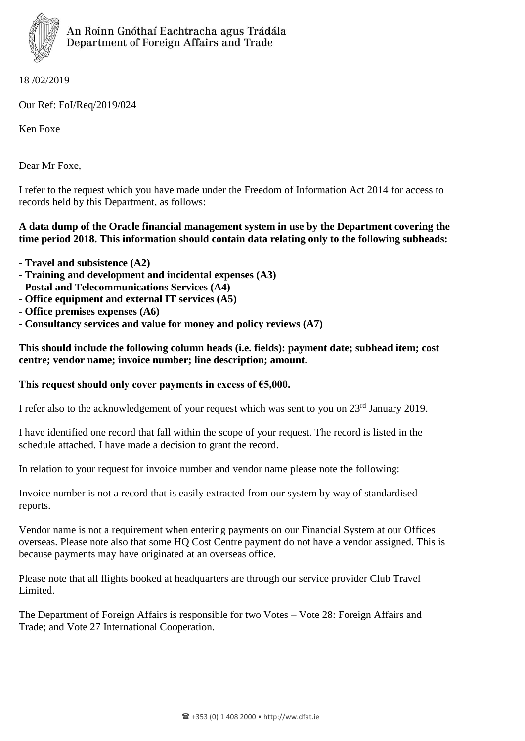

18 /02/2019

Our Ref: FoI/Req/2019/024

Ken Foxe

Dear Mr Foxe,

I refer to the request which you have made under the Freedom of Information Act 2014 for access to records held by this Department, as follows:

## **A data dump of the Oracle financial management system in use by the Department covering the time period 2018. This information should contain data relating only to the following subheads:**

- **- Travel and subsistence (A2)**
- **- Training and development and incidental expenses (A3)**
- **- Postal and Telecommunications Services (A4)**
- **- Office equipment and external IT services (A5)**
- **- Office premises expenses (A6)**
- **- Consultancy services and value for money and policy reviews (A7)**

## **This should include the following column heads (i.e. fields): payment date; subhead item; cost centre; vendor name; invoice number; line description; amount.**

## **This request should only cover payments in excess of €5,000.**

I refer also to the acknowledgement of your request which was sent to you on 23<sup>rd</sup> January 2019.

I have identified one record that fall within the scope of your request. The record is listed in the schedule attached. I have made a decision to grant the record.

In relation to your request for invoice number and vendor name please note the following:

Invoice number is not a record that is easily extracted from our system by way of standardised reports.

Vendor name is not a requirement when entering payments on our Financial System at our Offices overseas. Please note also that some HQ Cost Centre payment do not have a vendor assigned. This is because payments may have originated at an overseas office.

Please note that all flights booked at headquarters are through our service provider Club Travel Limited.

The Department of Foreign Affairs is responsible for two Votes – Vote 28: Foreign Affairs and Trade; and Vote 27 International Cooperation.